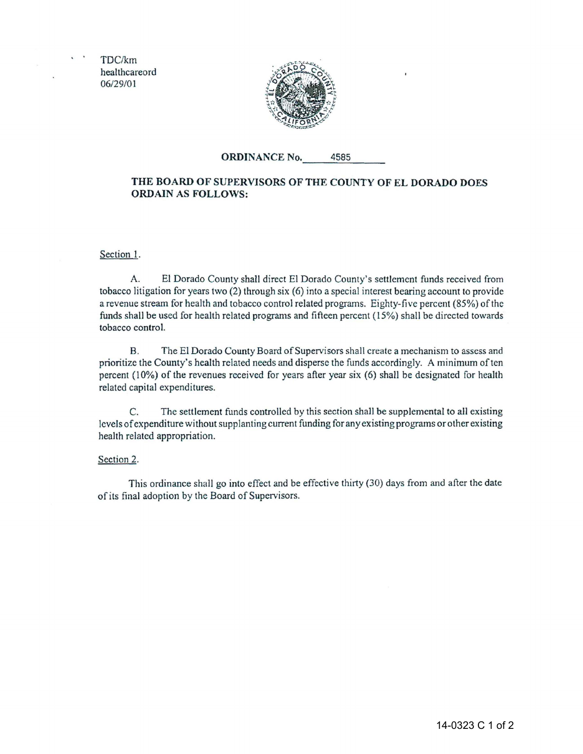TDC/km healthcareord 06/29/01



## **ORDINANCE** No. 4585

## **THE BOARD OF SUPERVISORS OF THE COUNTY OF EL DORADO DOES ORDAIN AS FOLLOWS:**

Section 1.

A. ElDorado County shall direct ElDorado County's settlement funds received from tobacco litigation for years two (2) through six (6) into a special interest bearing account to provide a revenue stream for health and tobacco control related programs. Eighty-five percent (85%) of the funds shall be used for health related programs and fifteen percent (15%) shall be directed towards tobacco control.

B. TheEl Dorado County Board of Supervisors shall create a mechanism to assess and prioritize the County's health related needs and disperse the funds accordingly. A minimum of ten percent (10%) of the revenues received for years after year six (6) shall be designated for health related capital expenditures.

C. The settlement funds controlled by this section shall be supplemental to all existing levels of expenditure without supplanting current funding for any existing programs or other existing health related appropriation.

## Section 2.

This ordinance shall go into effect and be effective thirty (30) days from and after the date of its final adoption by the Board of Supervisors.